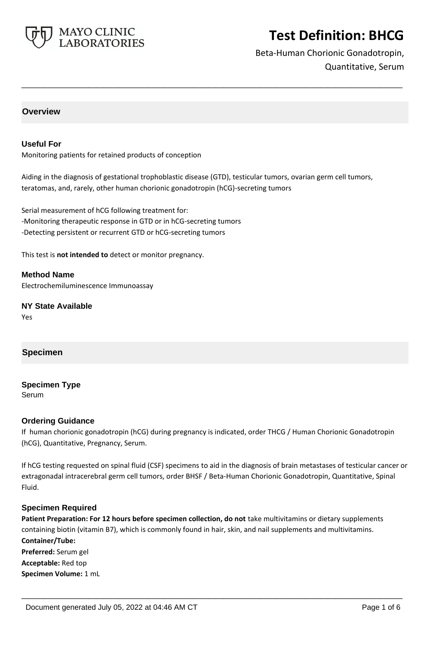

Beta-Human Chorionic Gonadotropin, Quantitative, Serum

## **Overview**

### **Useful For**

Monitoring patients for retained products of conception

Aiding in the diagnosis of gestational trophoblastic disease (GTD), testicular tumors, ovarian germ cell tumors, teratomas, and, rarely, other human chorionic gonadotropin (hCG)-secreting tumors

**\_\_\_\_\_\_\_\_\_\_\_\_\_\_\_\_\_\_\_\_\_\_\_\_\_\_\_\_\_\_\_\_\_\_\_\_\_\_\_\_\_\_\_\_\_\_\_\_\_\_\_**

Serial measurement of hCG following treatment for: -Monitoring therapeutic response in GTD or in hCG-secreting tumors -Detecting persistent or recurrent GTD or hCG-secreting tumors

This test is **not intended to** detect or monitor pregnancy.

**Method Name** Electrochemiluminescence Immunoassay

**NY State Available** Yes

# **Specimen**

**Specimen Type**

Serum

### **Ordering Guidance**

If human chorionic gonadotropin (hCG) during pregnancy is indicated, order THCG / Human Chorionic Gonadotropin (hCG), Quantitative, Pregnancy, Serum.

If hCG testing requested on spinal fluid (CSF) specimens to aid in the diagnosis of brain metastases of testicular cancer or extragonadal intracerebral germ cell tumors, order BHSF / Beta-Human Chorionic Gonadotropin, Quantitative, Spinal Fluid.

#### **Specimen Required**

**Patient Preparation: For 12 hours before specimen collection, do not** take multivitamins or dietary supplements containing biotin (vitamin B7), which is commonly found in hair, skin, and nail supplements and multivitamins. **Container/Tube: Preferred:** Serum gel **Acceptable:** Red top **Specimen Volume:** 1 mL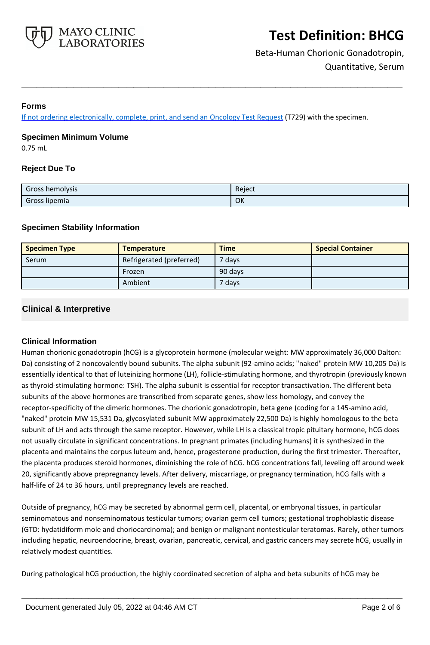

Beta-Human Chorionic Gonadotropin, Quantitative, Serum

### **Forms**

If not ordering electronically, complete, print, and send an [Oncology Test Request](https://www.mayocliniclabs.com/it-mmfiles/oncology-request-form.pdf) (T729) with the specimen.

#### **Specimen Minimum Volume**

0.75 mL

## **Reject Due To**

| Gross hemolysis | Reject |
|-----------------|--------|
| Gross lipemia   | OK     |

**\_\_\_\_\_\_\_\_\_\_\_\_\_\_\_\_\_\_\_\_\_\_\_\_\_\_\_\_\_\_\_\_\_\_\_\_\_\_\_\_\_\_\_\_\_\_\_\_\_\_\_**

### **Specimen Stability Information**

| <b>Specimen Type</b> | <b>Temperature</b>       | <b>Time</b>       | <b>Special Container</b> |
|----------------------|--------------------------|-------------------|--------------------------|
| Serum                | Refrigerated (preferred) | <sup>7</sup> days |                          |
|                      | Frozen                   | 90 days           |                          |
|                      | Ambient                  | 7 davs            |                          |

## **Clinical & Interpretive**

### **Clinical Information**

Human chorionic gonadotropin (hCG) is a glycoprotein hormone (molecular weight: MW approximately 36,000 Dalton: Da) consisting of 2 noncovalently bound subunits. The alpha subunit (92-amino acids; "naked" protein MW 10,205 Da) is essentially identical to that of luteinizing hormone (LH), follicle-stimulating hormone, and thyrotropin (previously known as thyroid-stimulating hormone: TSH). The alpha subunit is essential for receptor transactivation. The different beta subunits of the above hormones are transcribed from separate genes, show less homology, and convey the receptor-specificity of the dimeric hormones. The chorionic gonadotropin, beta gene (coding for a 145-amino acid, "naked" protein MW 15,531 Da, glycosylated subunit MW approximately 22,500 Da) is highly homologous to the beta subunit of LH and acts through the same receptor. However, while LH is a classical tropic pituitary hormone, hCG does not usually circulate in significant concentrations. In pregnant primates (including humans) it is synthesized in the placenta and maintains the corpus luteum and, hence, progesterone production, during the first trimester. Thereafter, the placenta produces steroid hormones, diminishing the role of hCG. hCG concentrations fall, leveling off around week 20, significantly above prepregnancy levels. After delivery, miscarriage, or pregnancy termination, hCG falls with a half-life of 24 to 36 hours, until prepregnancy levels are reached.

Outside of pregnancy, hCG may be secreted by abnormal germ cell, placental, or embryonal tissues, in particular seminomatous and nonseminomatous testicular tumors; ovarian germ cell tumors; gestational trophoblastic disease (GTD: hydatidiform mole and choriocarcinoma); and benign or malignant nontesticular teratomas. Rarely, other tumors including hepatic, neuroendocrine, breast, ovarian, pancreatic, cervical, and gastric cancers may secrete hCG, usually in relatively modest quantities.

**\_\_\_\_\_\_\_\_\_\_\_\_\_\_\_\_\_\_\_\_\_\_\_\_\_\_\_\_\_\_\_\_\_\_\_\_\_\_\_\_\_\_\_\_\_\_\_\_\_\_\_**

During pathological hCG production, the highly coordinated secretion of alpha and beta subunits of hCG may be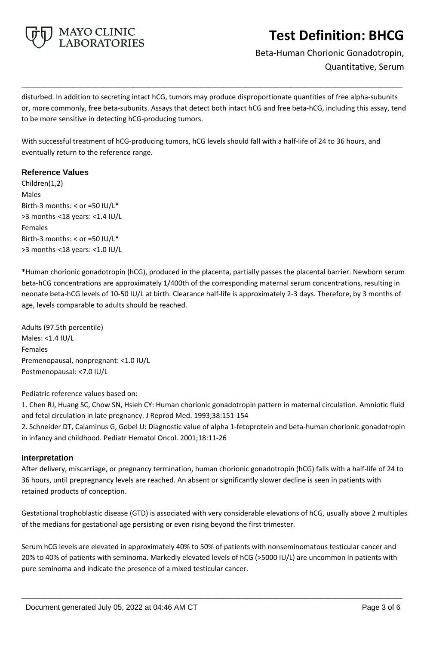

Beta-Human Chorionic Gonadotropin, Quantitative, Serum

disturbed. In addition to secreting intact hCG, tumors may produce disproportionate quantities of free alpha-subunits or, more commonly, free beta-subunits. Assays that detect both intact hCG and free beta-hCG, including this assay, tend to be more sensitive in detecting hCG-producing tumors.

**\_\_\_\_\_\_\_\_\_\_\_\_\_\_\_\_\_\_\_\_\_\_\_\_\_\_\_\_\_\_\_\_\_\_\_\_\_\_\_\_\_\_\_\_\_\_\_\_\_\_\_**

With successful treatment of hCG-producing tumors, hCG levels should fall with a half-life of 24 to 36 hours, and eventually return to the reference range.

## **Reference Values**

Children(1,2) Males Birth-3 months:  $<$  or =50 IU/L\* >3 months-<18 years: <1.4 IU/L Females Birth-3 months: < or =50 IU/L\* >3 months-<18 years: <1.0 IU/L

\*Human chorionic gonadotropin (hCG), produced in the placenta, partially passes the placental barrier. Newborn serum beta-hCG concentrations are approximately 1/400th of the corresponding maternal serum concentrations, resulting in neonate beta-hCG levels of 10-50 IU/L at birth. Clearance half-life is approximately 2-3 days. Therefore, by 3 months of age, levels comparable to adults should be reached.

Adults (97.5th percentile) Males: <1.4 IU/L Females Premenopausal, nonpregnant: <1.0 IU/L Postmenopausal: <7.0 IU/L

Pediatric reference values based on:

1. Chen RJ, Huang SC, Chow SN, Hsieh CY: Human chorionic gonadotropin pattern in maternal circulation. Amniotic fluid and fetal circulation in late pregnancy. J Reprod Med. 1993;38:151-154

2. Schneider DT, Calaminus G, Gobel U: Diagnostic value of alpha 1-fetoprotein and beta-human chorionic gonadotropin in infancy and childhood. Pediatr Hematol Oncol. 2001;18:11-26

### **Interpretation**

After delivery, miscarriage, or pregnancy termination, human chorionic gonadotropin (hCG) falls with a half-life of 24 to 36 hours, until prepregnancy levels are reached. An absent or significantly slower decline is seen in patients with retained products of conception.

Gestational trophoblastic disease (GTD) is associated with very considerable elevations of hCG, usually above 2 multiples of the medians for gestational age persisting or even rising beyond the first trimester.

Serum hCG levels are elevated in approximately 40% to 50% of patients with nonseminomatous testicular cancer and 20% to 40% of patients with seminoma. Markedly elevated levels of hCG (>5000 IU/L) are uncommon in patients with pure seminoma and indicate the presence of a mixed testicular cancer.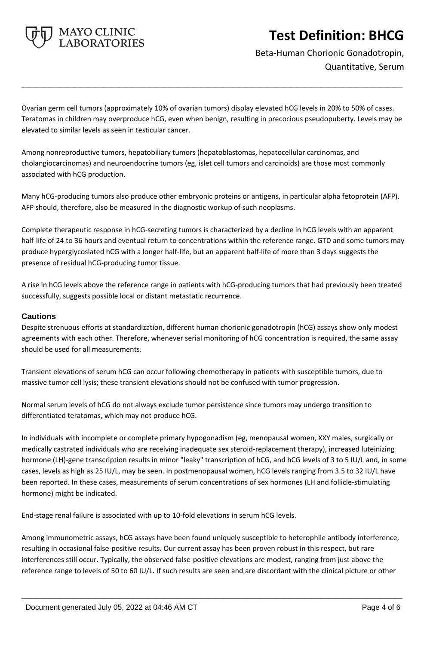

Beta-Human Chorionic Gonadotropin, Quantitative, Serum

Ovarian germ cell tumors (approximately 10% of ovarian tumors) display elevated hCG levels in 20% to 50% of cases. Teratomas in children may overproduce hCG, even when benign, resulting in precocious pseudopuberty. Levels may be elevated to similar levels as seen in testicular cancer.

**\_\_\_\_\_\_\_\_\_\_\_\_\_\_\_\_\_\_\_\_\_\_\_\_\_\_\_\_\_\_\_\_\_\_\_\_\_\_\_\_\_\_\_\_\_\_\_\_\_\_\_**

Among nonreproductive tumors, hepatobiliary tumors (hepatoblastomas, hepatocellular carcinomas, and cholangiocarcinomas) and neuroendocrine tumors (eg, islet cell tumors and carcinoids) are those most commonly associated with hCG production.

Many hCG-producing tumors also produce other embryonic proteins or antigens, in particular alpha fetoprotein (AFP). AFP should, therefore, also be measured in the diagnostic workup of such neoplasms.

Complete therapeutic response in hCG-secreting tumors is characterized by a decline in hCG levels with an apparent half-life of 24 to 36 hours and eventual return to concentrations within the reference range. GTD and some tumors may produce hyperglycoslated hCG with a longer half-life, but an apparent half-life of more than 3 days suggests the presence of residual hCG-producing tumor tissue.

A rise in hCG levels above the reference range in patients with hCG-producing tumors that had previously been treated successfully, suggests possible local or distant metastatic recurrence.

## **Cautions**

Despite strenuous efforts at standardization, different human chorionic gonadotropin (hCG) assays show only modest agreements with each other. Therefore, whenever serial monitoring of hCG concentration is required, the same assay should be used for all measurements.

Transient elevations of serum hCG can occur following chemotherapy in patients with susceptible tumors, due to massive tumor cell lysis; these transient elevations should not be confused with tumor progression.

Normal serum levels of hCG do not always exclude tumor persistence since tumors may undergo transition to differentiated teratomas, which may not produce hCG.

In individuals with incomplete or complete primary hypogonadism (eg, menopausal women, XXY males, surgically or medically castrated individuals who are receiving inadequate sex steroid-replacement therapy), increased luteinizing hormone (LH)-gene transcription results in minor "leaky" transcription of hCG, and hCG levels of 3 to 5 IU/L and, in some cases, levels as high as 25 IU/L, may be seen. In postmenopausal women, hCG levels ranging from 3.5 to 32 IU/L have been reported. In these cases, measurements of serum concentrations of sex hormones (LH and follicle-stimulating hormone) might be indicated.

End-stage renal failure is associated with up to 10-fold elevations in serum hCG levels.

Among immunometric assays, hCG assays have been found uniquely susceptible to heterophile antibody interference, resulting in occasional false-positive results. Our current assay has been proven robust in this respect, but rare interferences still occur. Typically, the observed false-positive elevations are modest, ranging from just above the reference range to levels of 50 to 60 IU/L. If such results are seen and are discordant with the clinical picture or other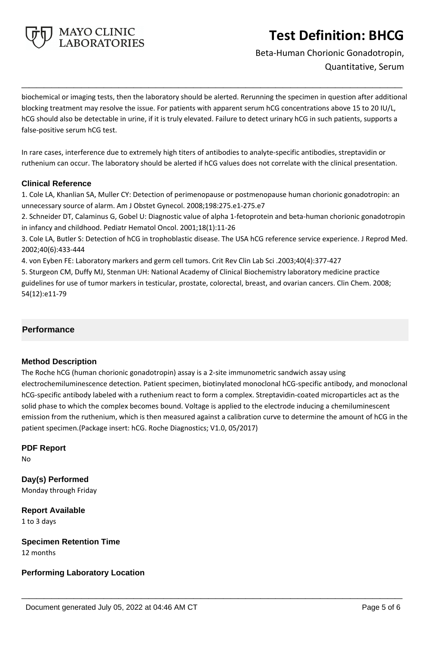

Beta-Human Chorionic Gonadotropin, Quantitative, Serum

biochemical or imaging tests, then the laboratory should be alerted. Rerunning the specimen in question after additional blocking treatment may resolve the issue. For patients with apparent serum hCG concentrations above 15 to 20 IU/L, hCG should also be detectable in urine, if it is truly elevated. Failure to detect urinary hCG in such patients, supports a false-positive serum hCG test.

**\_\_\_\_\_\_\_\_\_\_\_\_\_\_\_\_\_\_\_\_\_\_\_\_\_\_\_\_\_\_\_\_\_\_\_\_\_\_\_\_\_\_\_\_\_\_\_\_\_\_\_**

In rare cases, interference due to extremely high titers of antibodies to analyte-specific antibodies, streptavidin or ruthenium can occur. The laboratory should be alerted if hCG values does not correlate with the clinical presentation.

## **Clinical Reference**

1. Cole LA, Khanlian SA, Muller CY: Detection of perimenopause or postmenopause human chorionic gonadotropin: an unnecessary source of alarm. Am J Obstet Gynecol. 2008;198:275.e1-275.e7

2. Schneider DT, Calaminus G, Gobel U: Diagnostic value of alpha 1-fetoprotein and beta-human chorionic gonadotropin in infancy and childhood. Pediatr Hematol Oncol. 2001;18(1):11-26

3. Cole LA, Butler S: Detection of hCG in trophoblastic disease. The USA hCG reference service experience. J Reprod Med. 2002;40(6):433-444

4. von Eyben FE: Laboratory markers and germ cell tumors. Crit Rev Clin Lab Sci .2003;40(4):377-427

5. Sturgeon CM, Duffy MJ, Stenman UH: National Academy of Clinical Biochemistry laboratory medicine practice guidelines for use of tumor markers in testicular, prostate, colorectal, breast, and ovarian cancers. Clin Chem. 2008; 54(12):e11-79

# **Performance**

### **Method Description**

The Roche hCG (human chorionic gonadotropin) assay is a 2-site immunometric sandwich assay using electrochemiluminescence detection. Patient specimen, biotinylated monoclonal hCG-specific antibody, and monoclonal hCG-specific antibody labeled with a ruthenium react to form a complex. Streptavidin-coated microparticles act as the solid phase to which the complex becomes bound. Voltage is applied to the electrode inducing a chemiluminescent emission from the ruthenium, which is then measured against a calibration curve to determine the amount of hCG in the patient specimen.(Package insert: hCG. Roche Diagnostics; V1.0, 05/2017)

**\_\_\_\_\_\_\_\_\_\_\_\_\_\_\_\_\_\_\_\_\_\_\_\_\_\_\_\_\_\_\_\_\_\_\_\_\_\_\_\_\_\_\_\_\_\_\_\_\_\_\_**

# **PDF Report**

No

**Day(s) Performed** Monday through Friday

**Report Available** 1 to 3 days

**Specimen Retention Time** 12 months

# **Performing Laboratory Location**